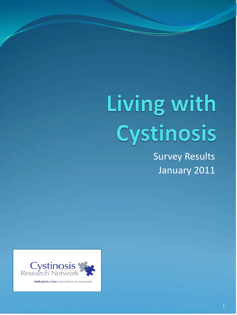# Living with Cystinosis

Survey Results January 2011



Dedicated to a Cure. Committed to our Community.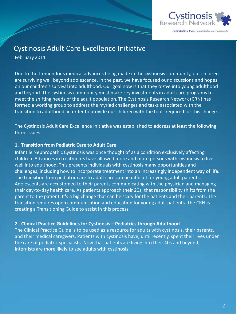

Dedicated to a Cure. Committed to our Community

### Cystinosis Adult Care Excellence Initiative

February 2011

Due to the tremendous medical advances being made in the cystinosis community, our children are surviving well beyond adolescence. In the past, we have focused our discussions and hopes on our children's survival into adulthood. Our goal now is that they *thrive* into young adulthood and beyond. The cystinosis community must make key investments in adult care programs to meet the shifting needs of the adult population. The Cystinosis Research Network (CRN) has formed a working group to address the myriad challenges and tasks associated with the transition to adulthood, in order to provide our children with the tools required for this change.

The Cystinosis Adult Care Excellence Initiative was established to address at least the following three issues:

#### **1. Transition from Pediatric Care to Adult Care**

Infantile Nephropathic Cystinosis was once thought of as a condition exclusively affecting children. Advances in treatments have allowed more and more persons with cystinosis to live well into adulthood. This presents individuals with cystinosis many opportunities and challenges, including how to incorporate treatment into an increasingly independent way of life. The transition from pediatric care to adult care can be difficult for young adult patients. Adolescents are accustomed to their parents communicating with the physician and managing their day-to-day health care. As patients approach their 20s, that responsibility shifts from the parent to the patient. It's a big change that can be scary for the patients and their parents. The transition requires open communication and education for young adult patients. The CRN is creating a Transitioning Guide to assist in this process.

#### **2. Clinical Practice Guidelines for Cystinosis – Pediatrics through Adulthood**

The Clinical Practice Guide is to be used as a resource for adults with cystinosis, their parents, and their medical caregivers. Patients with cystinosis have, until recently, spent their lives under the care of pediatric specialists. Now that patients are living into their 40s and beyond, Internists are more likely to see adults with cystinosis.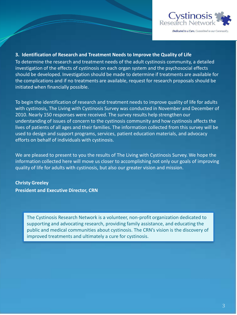

#### **3. Identification of Research and Treatment Needs to Improve the Quality of Life**

To determine the research and treatment needs of the adult cystinosis community, a detailed investigation of the effects of cystinosis on each organ system and the psychosocial effects should be developed. Investigation should be made to determine if treatments are available for the complications and if no treatments are available, request for research proposals should be initiated when financially possible.

To begin the identification of research and treatment needs to improve quality of life for adults with cystinosis, The Living with Cystinosis Survey was conducted in November and December of 2010. Nearly 150 responses were received. The survey results help strengthen our understanding of issues of concern to the cystinosis community and how cystinosis affects the lives of patients of all ages and their families. The information collected from this survey will be used to design and support programs, services, patient education materials, and advocacy efforts on behalf of individuals with cystinosis.

We are pleased to present to you the results of The Living with Cystinosis Survey. We hope the information collected here will move us closer to accomplishing not only our goals of improving quality of life for adults with cystinosis, but also our greater vision and mission.

**Christy Greeley President and Executive Director, CRN**

> The Cystinosis Research Network is a volunteer, non-profit organization dedicated to supporting and advocating research, providing family assistance, and educating the public and medical communities about cystinosis. The CRN's vision is the discovery of improved treatments and ultimately a cure for cystinosis.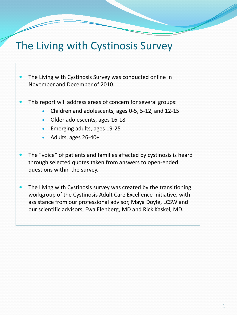# The Living with Cystinosis Survey

- The Living with Cystinosis Survey was conducted online in November and December of 2010.
- This report will address areas of concern for several groups:
	- Children and adolescents, ages 0-5, 5-12, and 12-15
	- Older adolescents, ages 16-18
	- Emerging adults, ages 19-25
	- Adults, ages 26-40+
- The "voice" of patients and families affected by cystinosis is heard through selected quotes taken from answers to open-ended questions within the survey.
- The Living with Cystinosis survey was created by the transitioning workgroup of the Cystinosis Adult Care Excellence Initiative, with assistance from our professional advisor, Maya Doyle, LCSW and our scientific advisors, Ewa Elenberg, MD and Rick Kaskel, MD.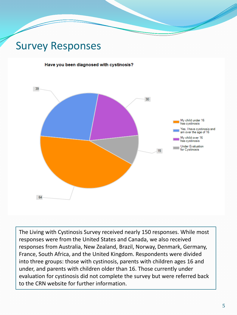# Survey Responses

#### Have you been diagnosed with cystinosis?



The Living with Cystinosis Survey received nearly 150 responses. While most responses were from the United States and Canada, we also received responses from Australia, New Zealand, Brazil, Norway, Denmark, Germany, France, South Africa, and the United Kingdom. Respondents were divided into three groups: those with cystinosis, parents with children ages 16 and under, and parents with children older than 16. Those currently under evaluation for cystinosis did not complete the survey but were referred back to the CRN website for further information.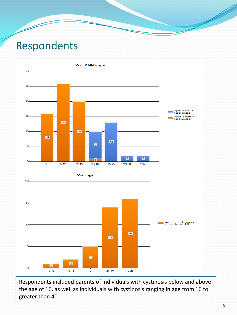# Respondents

D



Respondents included parents of individuals with cystinosis below and above the age of 16, as well as individuals with cystinosis ranging in age from 16 to greater than 40.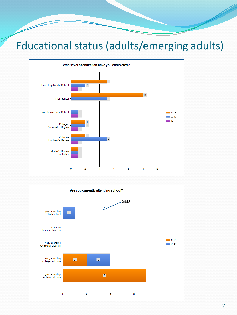# Educational status (adults/emerging adults)

╱



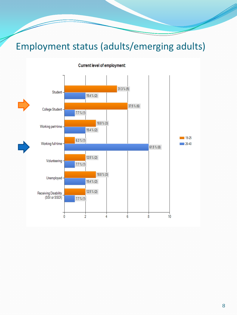# Employment status (adults/emerging adults)



**Current level of employment:**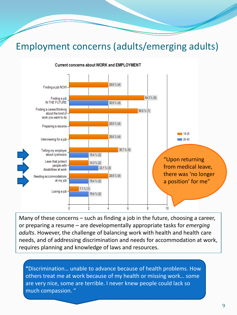### Employment concerns (adults/emerging adults)



**Current concerns about WORK and EMPLOYMENT** 

Many of these concerns – such as finding a job in the future, choosing a career, or preparing a resume – are developmentally appropriate tasks for *emerging adults*. However, the challenge of balancing work with health and health care needs, and of addressing discrimination and needs for accommodation at work, requires planning and knowledge of laws and resources.

**"**Discrimination… unable to advance because of health problems. How others treat me at work because of my health or missing work… some are very nice, some are terrible. I never knew people could lack so much compassion. "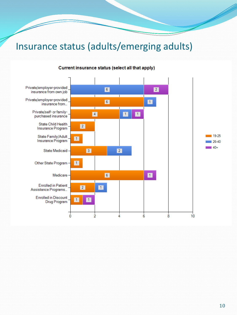# Insurance status (adults/emerging adults)

D



#### Current insurance status (select all that apply)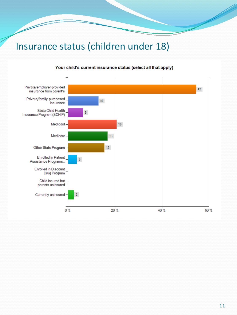## Insurance status (children under 18)

D



#### Your child's current insurance status (select all that apply)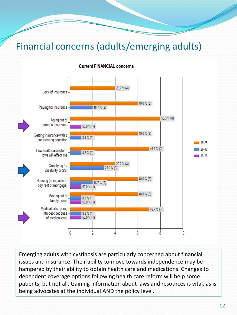# Financial concerns (adults/emerging adults)

#### **Current FINANCIAL concerns**



Emerging adults with cystinosis are particularly concerned about financial issues and insurance. Their ability to move towards independence may be hampered by their ability to obtain health care and medications. Changes to dependent coverage options following health care reform will help some patients, but not all. Gaining information about laws and resources is vital, as is being advocates at the individual AND the policy level.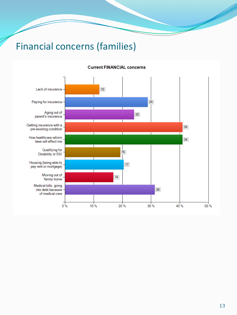# Financial concerns (families)

#### **Current FINANCIAL concerns**

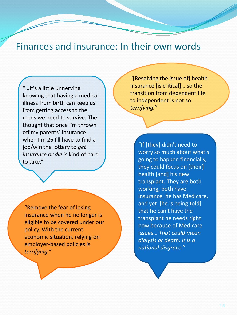### Finances and insurance: In their own words

"…It's a little unnerving knowing that having a medical illness from birth can keep us from getting access to the meds we need to survive. The thought that once I'm thrown off my parents' insurance when I'm 26 I'll have to find a job/win the lottery to *get insurance or die* is kind of hard to take."

"Remove the fear of losing insurance when he no longer is eligible to be covered under our policy. With the current economic situation, relying on employer-based policies is *terrifying."*

"[Resolving the issue of] health insurance [is critical]… so the transition from dependent life to independent is not so *terrifying."*

> "If [they] didn't need to worry so much about what's going to happen financially, they could focus on [their] health [and] his new transplant. They are both working, both have insurance, he has Medicare, and yet [he is being told] that he can't have the transplant he needs right now because of Medicare issues… *That could mean dialysis or death. It is a national disgrace."*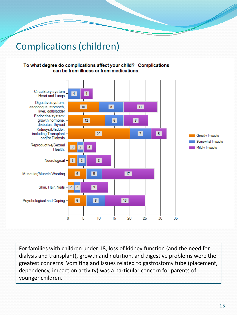# Complications (children)

#### To what degree do complications affect your child? Complications can be from illness or from medications.



For families with children under 18, loss of kidney function (and the need for dialysis and transplant), growth and nutrition, and digestive problems were the greatest concerns. Vomiting and issues related to gastrostomy tube (placement, dependency, impact on activity) was a particular concern for parents of younger children.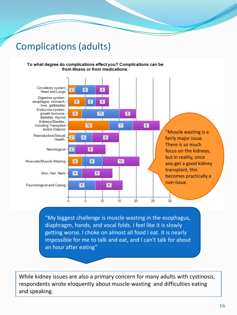### Complications (adults)

#### To what degree do complications effect you? Complications can be from illness or from medications.



focus on the kidneys, but in reality, once you get a good kidney transplant, this becomes practically a

"My biggest challenge is muscle wasting in the esophagus, diaphragm, hands, and vocal folds. I feel like it is slowly getting worse. I choke on almost all food I eat. It is nearly impossible for me to talk and eat, and I can't talk for about an hour after eating"

While kidney issues are also a primary concern for many adults with cystinosis, respondents wrote eloquently about muscle-wasting and difficulties eating and speaking.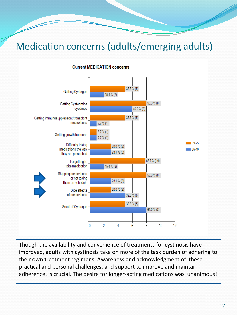# Medication concerns (adults/emerging adults)



#### **Current MEDICATION concerns**

Though the availability and convenience of treatments for cystinosis have improved, adults with cystinosis take on more of the task burden of adhering to their own treatment regimens. Awareness and acknowledgment of these practical and personal challenges, and support to improve and maintain adherence, is crucial. The desire for longer-acting medications was unanimous!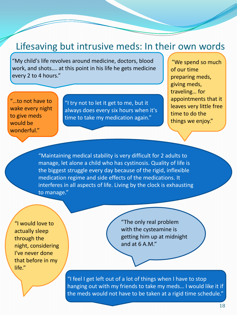### Lifesaving but intrusive meds: In their own words

"My child's life revolves around medicine, doctors, blood work, and shots…. at this point in his life he gets medicine every 2 to 4 hours."

"…to not have to wake every night to give meds would be wonderful."

"I try not to let it get to me, but it always does every six hours when it's time to take my medication again."

"We spend so much of our time preparing meds, giving meds, traveling… for appointments that it leaves very little free time to do the things we enjoy."

"Maintaining medical stability is very difficult for 2 adults to manage, let alone a child who has cystinosis. Quality of life is the biggest struggle every day because of the rigid, inflexible medication regime and side effects of the medications. It interferes in all aspects of life. Living by the clock is exhausting to manage."

"I would love to actually sleep through the night, considering I've never done that before in my life."

"The only real problem with the cysteamine is getting him up at midnight and at 6 A.M."

"I feel I get left out of a lot of things when I have to stop hanging out with my friends to take my meds… I would like it if the meds would not have to be taken at a rigid time schedule."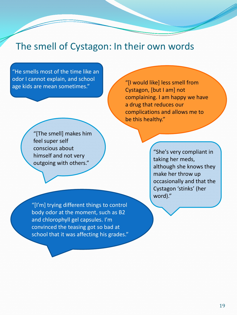### The smell of Cystagon: In their own words

"He smells most of the time like an odor I cannot explain, and school age kids are mean sometimes."

"[I would like] less smell from Cystagon, [but I am] not complaining. I am happy we have a drug that reduces our complications and allows me to be this healthy."

"[The smell] makes him feel super self conscious about himself and not very outgoing with others."

"She's very compliant in taking her meds, although she knows they make her throw up occasionally and that the Cystagon 'stinks' (her word)."

"[I'm] trying different things to control body odor at the moment, such as B2 and chlorophyll gel capsules. I'm convinced the teasing got so bad at school that it was affecting his grades."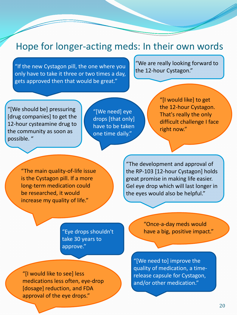### Hope for longer-acting meds: In their own words

"If the new Cystagon pill, the one where you only have to take it three or two times a day, gets approved then that would be great."

"We are really looking forward to the 12-hour Cystagon."

"[We should be] pressuring [drug companies] to get the 12-hour cysteamine drug to the community as soon as possible. "

"[We need] eye drops [that only] have to be taken one time daily."

"[I would like] to get the 12-hour Cystagon. That's really the only difficult challenge I face right now."

"The main quality-of-life issue is the Cystagon pill. If a more long-term medication could be researched, it would increase my quality of life."

"The development and approval of the RP-103 [12-hour Cystagon] holds great promise in making life easier. Gel eye drop which will last longer in the eyes would also be helpful."

'

"Eye drops shouldn't take 30 years to approve."

"[I would like to see] less medications less often, eye-drop [dosage] reduction, and FDA approval of the eye drops."

"Once-a-day meds would have a big, positive impact."

"[We need to] improve the quality of medication, a timerelease capsule for Cystagon, and/or other medication."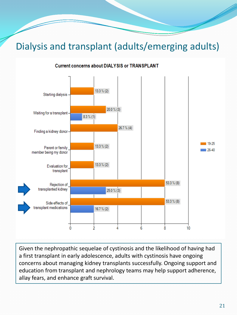# Dialysis and transplant (adults/emerging adults)



**Current concerns about DIALYSIS or TRANSPLANT** 

Given the nephropathic sequelae of cystinosis and the likelihood of having had a first transplant in early adolescence, adults with cystinosis have ongoing concerns about managing kidney transplants successfully. Ongoing support and education from transplant and nephrology teams may help support adherence, allay fears, and enhance graft survival.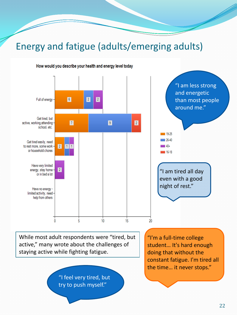## Energy and fatigue (adults/emerging adults)



How would you describe your health and energy level today

"I feel very tired, but try to push myself."

doing that without the constant fatigue. I'm tired all the time… it never stops."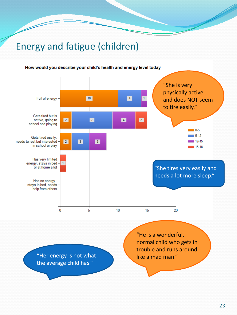# Energy and fatigue (children)

#### How would you describe your child's health and energy level today

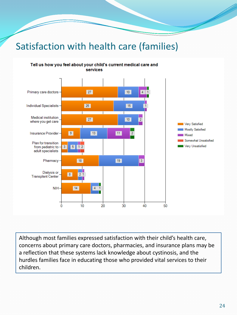# Satisfaction with health care (families)



Tell us how you feel about your child's current medical care and services

Although most families expressed satisfaction with their child's health care, concerns about primary care doctors, pharmacies, and insurance plans may be a reflection that these systems lack knowledge about cystinosis, and the hurdles families face in educating those who provided vital services to their children.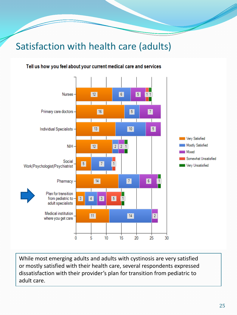# Satisfaction with health care (adults)

#### Tell us how you feel about your current medical care and services



While most emerging adults and adults with cystinosis are very satisfied or mostly satisfied with their health care, several respondents expressed dissatisfaction with their provider's plan for transition from pediatric to adult care.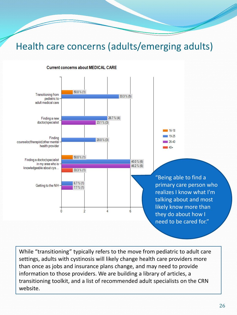### Health care concerns (adults/emerging adults)



#### Current concerns about MEDICAL CARE

While "transitioning" typically refers to the move from pediatric to adult care settings, adults with cystinosis will likely change health care providers more than once as jobs and insurance plans change, and may need to provide information to those providers. We are building a library of articles, a transitioning toolkit, and a list of recommended adult specialists on the CRN website.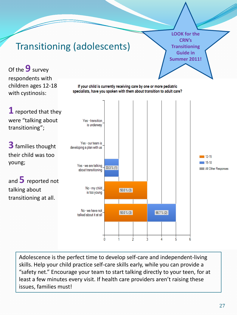

Adolescence is the perfect time to develop self-care and independent-living skills. Help your child practice self-care skills early, while you can provide a "safety net." Encourage your team to start talking directly to your teen, for at least a few minutes every visit. If health care providers aren't raising these issues, families must!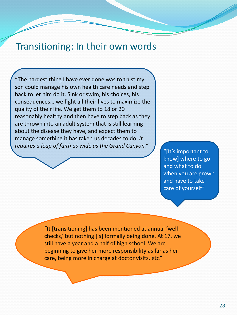### Transitioning: In their own words

"The hardest thing I have ever done was to trust my son could manage his own health care needs and step back to let him do it. Sink or swim, his choices, his consequences… we fight all their lives to maximize the quality of their life. We get them to 18 or 20 reasonably healthy and then have to step back as they are thrown into an adult system that is still learning about the disease they have, and expect them to manage something it has taken us decades to do. *It requires a leap of faith as wide as the Grand Canyon."*

"[It's important to know] where to go and what to do when you are grown and have to take care of yourself"

"It [transitioning] has been mentioned at annual 'wellchecks,' but nothing [is] formally being done. At 17, we still have a year and a half of high school. We are beginning to give her more responsibility as far as her care, being more in charge at doctor visits, etc."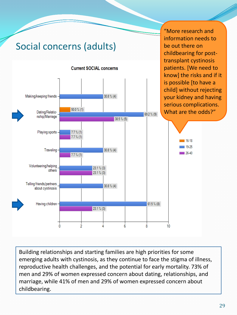

Building relationships and starting families are high priorities for some emerging adults with cystinosis, as they continue to face the stigma of illness, reproductive health challenges, and the potential for early mortality. 73% of men and 29% of women expressed concern about dating, relationships, and marriage, while 41% of men and 29% of women expressed concern about childbearing.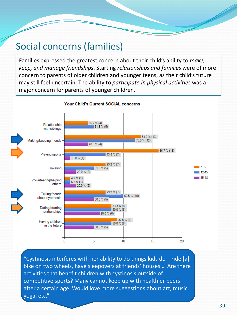### Social concerns (families)

Families expressed the greatest concern about their child's ability to *make, keep, and manage friendships*. Starting *relationships and families* were of more concern to parents of older children and younger teens, as their child's future may still feel uncertain. The ability to *participate in physical activities* was a major concern for parents of younger children.



**Your Child's Current SOCIAL concerns** 

"Cystinosis interferes with her ability to do things kids do – ride [a] bike on two wheels, have sleepovers at friends' houses… Are there activities that benefit children with cystinosis outside of competitive sports? Many cannot keep up with healthier peers after a certain age. Would love more suggestions about art, music, yoga, etc."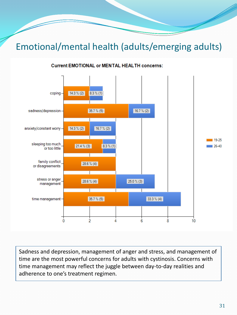### Emotional/mental health (adults/emerging adults)

#### **Current EMOTIONAL or MENTAL HEALTH concerns:**



Sadness and depression, management of anger and stress, and management of time are the most powerful concerns for adults with cystinosis. Concerns with time management may reflect the juggle between day-to-day realities and adherence to one's treatment regimen.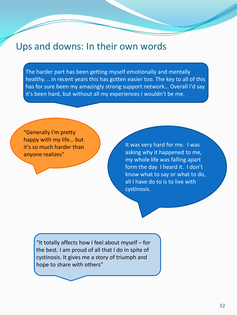### Ups and downs: In their own words

The harder part has been getting myself emotionally and mentally healthy. .. in recent years this has gotten easier too. The key to all of this has for sure been my amazingly strong support network… Overall I'd say it's been hard, but without all my experiences I wouldn't be me.

"Generally I'm pretty happy with my life… but it's so much harder than anyone realizes"

It was very hard for me. I was asking why it happened to me, my whole life was falling apart form the day I heard it. I don't know what to say or what to do, all I have do to is to live with cystinosis.

"It totally affects how I feel about myself – for the best. I am proud of all that I do in spite of cystinosis. It gives me a story of triumph and hope to share with others"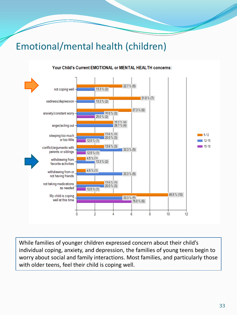# Emotional/mental health (children)



#### Your Child's Current EMOTIONAL or MENTAL HEALTH concerns:

While families of younger children expressed concern about their child's individual coping, anxiety, and depression, the families of young teens begin to worry about social and family interactions. Most families, and particularly those with older teens, feel their child is coping well.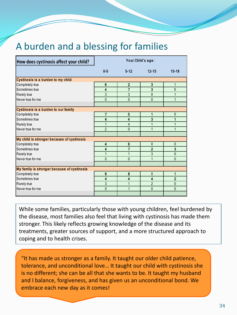### A burden and a blessing for families

| How does cystinosis affect your child?      | Your Child's age: |                |                |                |  |
|---------------------------------------------|-------------------|----------------|----------------|----------------|--|
|                                             | $0 - 5$           | $5 - 12$       | $12 - 15$      | $15 - 18$      |  |
| Cystinosis is a burden to my child          |                   |                |                |                |  |
| Completely true                             | 6                 | $\mathbf{2}$   | 3              |                |  |
| Sometimes true                              | 4                 | 7              | 3              | $\overline{0}$ |  |
| Rarely true                                 | 3                 | 3              | $\mathbf{0}$   |                |  |
| Never true for me                           | $\mathbf{0}$      | $\mathbf{0}$   | $\mathbf{0}$   | 1              |  |
|                                             |                   |                |                |                |  |
| Cystinosis is a burden to our family        |                   |                |                |                |  |
| Completely true                             | 7                 | 5              |                | 0              |  |
| Sometimes true                              | 4                 | 4              | 3              |                |  |
| Rarely true                                 |                   | $\overline{4}$ | 1              |                |  |
| Never true for me                           | $\overline{2}$    | $\mathbf{0}$   | 1              | 1              |  |
|                                             |                   |                |                |                |  |
| My child is stronger because of cystinosis  |                   |                |                |                |  |
| Completely true                             | 4                 | 6              | $\mathbf{0}$   | $\mathbf{0}$   |  |
| Sometimes true                              | 4                 | 7              | $\overline{2}$ | 3              |  |
| Rarely true                                 |                   |                | 3              | $\mathbf{0}$   |  |
| Never true for me                           | $\Omega$          | $\Omega$       | 1              | $\Omega$       |  |
|                                             |                   |                |                |                |  |
| My family is stronger because of cystinosis |                   |                |                |                |  |
| Completely true                             | 6                 | 8              | $\mathbf{0}$   | 1              |  |
| Sometimes true                              | 4                 | 4              | 4              | $\overline{2}$ |  |
| Rarely true                                 | 3                 |                | $\overline{2}$ | $\overline{0}$ |  |
| Never true for me                           | $\mathbf{0}$      |                | $\Omega$       | $\Omega$       |  |
|                                             |                   |                |                |                |  |

While some families, particularly those with young children, feel burdened by the disease, most families also feel that living with cystinosis has made them stronger. This likely reflects growing knowledge of the disease and its treatments, greater sources of support, and a more structured approach to coping and to health crises.

"It has made us stronger as a family. It taught our older child patience, tolerance, and unconditional love… It taught our child with cystinosis she is no different; she can be all that she wants to be. It taught my husband and I balance, forgiveness, and has given us an unconditional bond. We embrace each new day as it comes!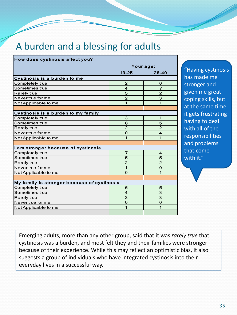# A burden and a blessing for adults

| How does cystinosis affect you?             |                         |                          |  |  |  |
|---------------------------------------------|-------------------------|--------------------------|--|--|--|
|                                             | Your age:               |                          |  |  |  |
|                                             | $19 - 25$               | $26 - 40$                |  |  |  |
| Cystinosis is a burden to me                |                         |                          |  |  |  |
| Completely true                             | $\overline{c}$          | 0                        |  |  |  |
| Sometimes true                              | 4                       | 7                        |  |  |  |
| Rarely true                                 | 5                       | $\overline{\mathcal{L}}$ |  |  |  |
| Never true for me                           | $\overline{2}$          | 3                        |  |  |  |
| Not Applicable to me                        | 1                       | 1                        |  |  |  |
|                                             |                         |                          |  |  |  |
| Cystinosis is a burden to my family         |                         |                          |  |  |  |
| Completely true                             | 3                       | 1                        |  |  |  |
| Sometimes true                              | 8                       | 5                        |  |  |  |
| Rarely true                                 | $\overline{2}$          | $\overline{2}$           |  |  |  |
| Never true for me                           | $\mathbf 0$             | $\overline{\mathbf{4}}$  |  |  |  |
| Not Applicable to me                        | 1                       | 1                        |  |  |  |
|                                             |                         |                          |  |  |  |
| I am stronger because of cystinosis         |                         |                          |  |  |  |
| Completely true                             | 7                       | 4                        |  |  |  |
| Sometimes true                              | 5                       | 5                        |  |  |  |
| Rarely true                                 | $\overline{2}$          | $\overline{2}$           |  |  |  |
| Never true for me                           | 1                       | $\Omega$                 |  |  |  |
| Not Applicable to me                        | $\Omega$                | 1                        |  |  |  |
|                                             |                         |                          |  |  |  |
| My family is stronger because of cystinosis |                         |                          |  |  |  |
| Completely true                             | 6                       | 5                        |  |  |  |
| Sometimes true                              | $\overline{\mathbf{4}}$ | 3                        |  |  |  |
| <b>Rarely true</b>                          | 3                       | 3                        |  |  |  |
| Never true for me                           | $\Omega$                | 0                        |  |  |  |
| Not Applicable to me                        | 1                       | 1                        |  |  |  |
|                                             |                         |                          |  |  |  |

"Having cystinosis has made me stronger and given me great coping skills, but at the same time it gets frustrating having to deal with all of the responsibilities and problems that come with it."

Emerging adults, more than any other group, said that it was *rarely true* that cystinosis was a burden, and most felt they and their families were stronger because of their experience. While this may reflect an optimistic bias, it also suggests a group of individuals who have integrated cystinosis into their everyday lives in a successful way.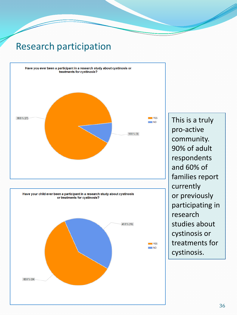### Research participation



This is a truly pro-active community. 90% of adult respondents and 60% of families report currently or previously participating in research studies about cystinosis or treatments for cystinosis.